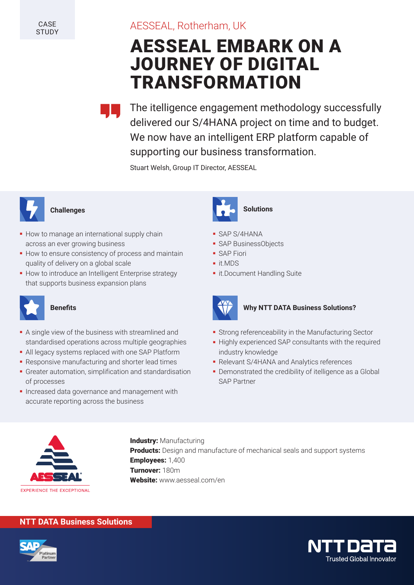# AESSEAL, Rotherham, UK

# AESSEAL EMBARK ON A JOURNEY OF DIGITAL TRANSFORMATION

The itelligence engagement methodology successfully delivered our S/4HANA project on time and to budget. We now have an intelligent ERP platform capable of supporting our business transformation.

Stuart Welsh, Group IT Director, AESSEAL



- **How to manage an international supply chain** across an ever growing business
- **How to ensure consistency of process and maintain** quality of delivery on a global scale
- How to introduce an Intelligent Enterprise strategy that supports business expansion plans



- A single view of the business with streamlined and standardised operations across multiple geographies
- All legacy systems replaced with one SAP Platform
- **Responsive manufacturing and shorter lead times**
- Greater automation, simplification and standardisation of processes
- Increased data governance and management with accurate reporting across the business



- SAP S/4HANA
- SAP BusinessObjects
- **SAP Fiori**
- it.MDS
- it.Document Handling Suite



### **Benefits Benefits Business Solutions?**

- Strong referenceability in the Manufacturing Sector
- Highly experienced SAP consultants with the required industry knowledge
- Relevant S/4HANA and Analytics references
- Demonstrated the credibility of itelligence as a Global SAP Partner



**Industry: Manufacturing** Products: Design and manufacture of mechanical seals and support systems Employees: 1,400 Turnover: 180m Website: www.aesseal.com/en

### **NTT DATA Business Solutions**